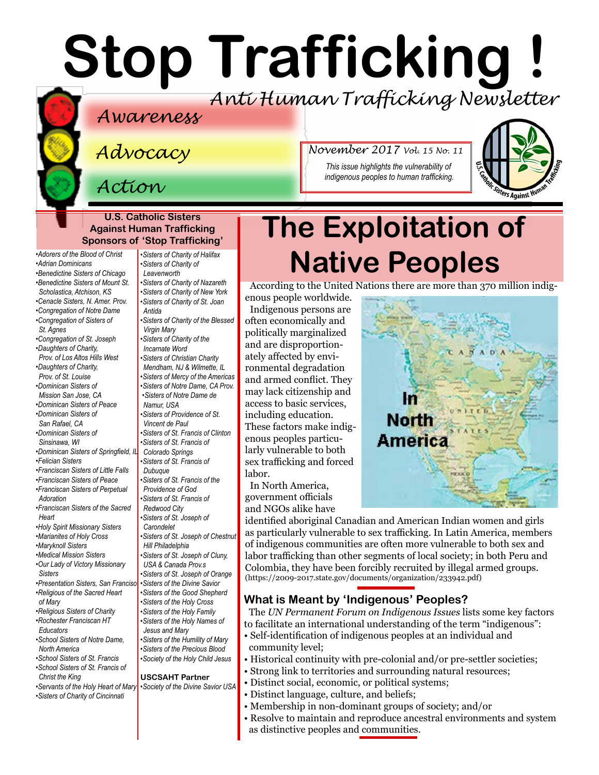# **Stop Trafficking !** *Anti Human Trafficking Newsletter*

### *Awareness*

*Advocacy*

*Action*

**U.S. Catholic Sisters Against Human Trafficking Sponsors of 'Stop Trafficking'**

*•[Adorers of the Blood of Christ](http://www.adorers.org/)  •[Adrian](http://www.adriandominicans.org/) Dominicans [•Benedictine Sisters of Chicago](http://www.osbchicago.org/index.htm)  [•Benedictine Sisters of Mount St.](http://www.mountosb.org/)* 

- *[Scholastica](http://www.mountosb.org/), Atchison, KS*
- *•[Cenacle Sisters, N. Amer. Prov.](http://www.cenaclesisters.org/)*
- *[•Congregation of Notre Dame](http://www.cnd-m.org/en/justice/index.php)  •[Congregation of Sisters of](http://www.csasisters.org/)*
- *[St. Agnes](http://www.csasisters.org/)*
- *•[Congregation of St. Joseph](https://www.csjoseph.org/)  •[Daughters of Charity,](http://www.daughtersofcharity.com)*
- *[Prov. of](http://www.daughtersofcharity.com) Los Altos Hills West •[Daughters of Charity,](http://www.thedaughtersofcharity.org/)*
- *[Prov. of St. Louise](http://www.thedaughtersofcharity.org/) [•Dominican Sisters of](https://www.msjdominicans.org/)*
- *[Mission San Jose, CA](https://www.msjdominicans.org/) •[Dominican Sisters of Peace](http://www.oppeace.org)*
- *•[Dominican Sisters of](http://sanrafaelop.org/)  [San Rafael, CA](http://sanrafaelop.org/)*
- *[•Dominican Sisters of](http://www.sinsinawa.org/)*
- *[Sinsinawa, WI](http://www.sinsinawa.org/)  •[Dominican Sisters of Springfield, IL](http://springfieldop.org/)*
- *•[Felician Sisters](http://feliciansisters.org/)*
- *•[Franciscan Sisters of Little Falls](http://www.fslf.org/)*
- *[•Franciscan Sisters of Peace](https://sites.google.com/site/fspnet2/home)*
- *[•Franciscan Sisters of Perpetual](http://www.fspa.org/content/ministries/justice-peace/partnerships)  [Adoration](http://www.fspa.org/content/ministries/justice-peace/partnerships)*
- *•[Franciscan Sisters of the Sacred](http://www.fssh.com)  [Heart](http://www.fssh.com)*
- *•[Holy Spirit Missionary Sisters](http://www.ssps-usa.org)*
- *•[Marianites of Holy Cross](http://www.marianites.org/)*
- *•[Maryknoll Sisters](https://www.maryknollsisters.org/)*
- *•[Medical Mission Sisters](http://www.medicalmissionsisters.org/) [•Our Lady of Victory Missionary](http://www.olvm.org)  [Sisters](http://www.olvm.org)*
- *•[Presentation](http://www.presentationsisterssf.org/) Sisters, San Franciso [•Religious of the Sacred Heart](http://www.rshm.org/)*
- *[of Mary](http://www.rshm.org/)  [•Religious Sisters of Charity](http://www.rsccaritas.ie/)*
- *•[Rochester Franciscan HT](https://www.rochesterfranciscan.org/what-we-do/justice-and-peace/human-rights-issues.html)  [Educators](https://www.rochesterfranciscan.org/what-we-do/justice-and-peace/human-rights-issues.html)*
- *[•School Sisters of Notre Dame,](http://www.ssnd.org)  [North America](http://www.ssnd.org)*
- *[•School Sisters of St. Francis](http://www.schoolsistersosf.org/) •[School Sisters of St. Francis of](http://www.lemontfranciscans.org)  [Christ the King](http://www.lemontfranciscans.org)*
- *•[Servants of the Holy Heart of Mary](http://www.sscm-usa.org/)*
- *[•Sisters of Charity of Cincinnati](http://www.srcharitycinti.org/)*

*[•Sisters of Charity of Halifax](http://www.schalifax.ca/) [•Sisters of Charity of](http://www.scls.org/)  [Leavenworth](http://www.scls.org/) [•Sisters of Charity of Nazareth](http://www.scnfamily.org/) [•Sisters of Charity of New York](http://scny.org/)  •Sisters of Charity of St. Joan Antida •[Sisters of Charity of the Blessed](http://www.bvmcong.org/)  [Virgin Mary](http://www.bvmcong.org/) •[Sisters of Charity of the](http://www.sistersofcharity.org/)  [Incarnate Word](http://www.sistersofcharity.org/) •Sisters of Christian Charity [Mendham, NJ](http://www.scceast.org) & Wilmette, IL •[Sisters of Mercy of the Americas](http://www.sistersofmercy.org/) •[Sisters of Notre Dame, CA Prov.](http://www.sndca.org/) •[Sisters of Notre Dame de](http://www.sndden.org)  [Namur, USA](http://www.sndden.org)  •[Sisters of Providence of St.](http://www.providence.ca)  [Vincent de Paul](http://www.providence.ca) •[Sisters of St. Francis of Clinton](http://www.clintonfranciscans.com/) •[Sisters of St. Francis of](http://stfrancis.org/)  [Colorado Springs](http://stfrancis.org/) •[Sisters of St. Francis of](http://www.osfdbq.org/)  [Dubuque](http://www.osfdbq.org/) •[Sisters of St. Francis of the](http://www.osfprov.org/)  [Providence of God](http://www.osfprov.org/) •[Sisters of St. Francis of](http://www.franciscanway.org/stfrancisprovince.html)  [Redwood City](http://www.franciscanway.org/stfrancisprovince.html) •[Sisters of St. Joseph of](http://www.csjla.org)  [Carondelet](http://www.csjla.org) •[Sisters of St. Joseph of Chestnut](http://ssjphila.org/new/) [Hill Philadelphia](http://ssjphila.org/new/) •[Sisters of St. Joseph of Cluny,](http://www.clunyusandcanada.org/)  [USA & Canada Prov.s](http://www.clunyusandcanada.org/) •[Sisters of St. Joseph of Orange](http://csjorange.org/) •[Sisters of the Divine Savior](http://sistersofthedivinesavior.org/) •[Sisters of the Good Shepherd](http://sistersofthegoodshepherd.com/)  •[Sisters of the Holy Cross](http://www.cscsisters.org/)  •[Sisters of the Holy Family](http://www.holyfamilysisters.org/) •[Sisters of the Holy Names of](http://www.snjm.org/index.php?lang=en)  [Jesus and Mary](http://www.snjm.org/index.php?lang=en) •[Sisters of the Humility of Mary](http://www.humilityofmary.org/) •[Sisters of the Precious Blood](https://www.preciousbloodsistersdayton.org/) •[Society of the Holy Child Jesus](http://www.shcj.org/american)*

#### **USCSAHT Partner**

*•[Society of the Divine Savior USA](http://www.salvatorians.com/)*

*This issue highlights the vulnerability of indigenous peoples to human trafficking.*

*November 2017 Vol. 15 No. 11*



# **The Exploitation of Native Peoples**

According to the United Nations there are more than 370 million indig-

enous people worldwide. Indigenous persons are often economically and politically marginalized and are disproportionately affected by environmental degradation and armed conflict. They may lack citizenship and access to basic services, including education. These factors make indigenous peoples particularly vulnerable to both sex trafficking and forced labor.

In North America, government officials and NGOs alike have



identified aboriginal Canadian and American Indian women and girls as particularly vulnerable to sex trafficking. In Latin America, members of indigenous communities are often more vulnerable to both sex and labor trafficking than other segments of local society; in both Peru and Colombia, they have been forcibly recruited by illegal armed groups. (<https://2009-2017.state.gov/documents/organization/233942.pdf>)

#### **What is Meant by 'Indigenous' Peoples?**

The *UN Permanent Forum on Indigenous Issues* lists some key factors to facilitate an international understanding of the term "indigenous":

- Self-identification of indigenous peoples at an individual and community level;
- Historical continuity with pre-colonial and/or pre-settler societies;
- Strong link to territories and surrounding natural resources;
- Distinct social, economic, or political systems;
- Distinct language, culture, and beliefs;
- Membership in non-dominant groups of society; and/or
- Resolve to maintain and reproduce ancestral environments and system as distinctive peoples and communities.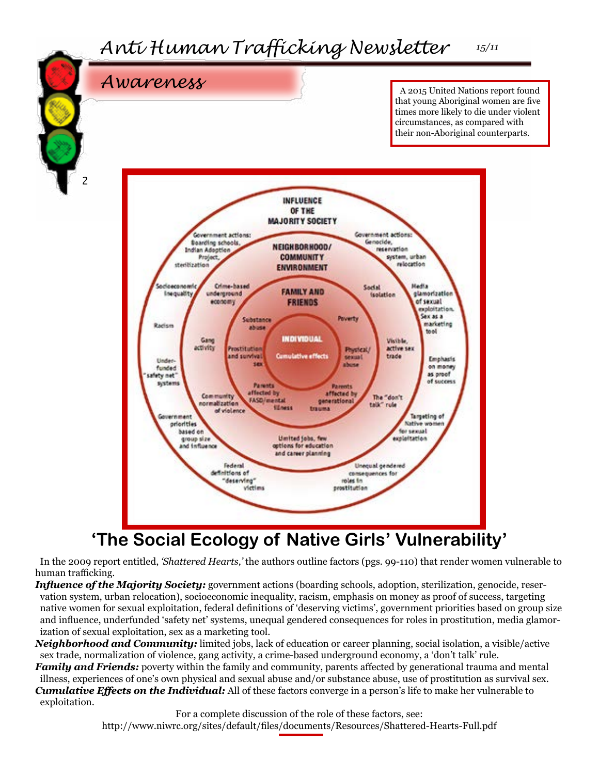

In the 2009 report entitled, *'Shattered Hearts,'* the authors outline factors (pgs. 99-110) that render women vulnerable to human trafficking.

*Influence of the Majority Society:* government actions (boarding schools, adoption, sterilization, genocide, reservation system, urban relocation), socioeconomic inequality, racism, emphasis on money as proof of success, targeting native women for sexual exploitation, federal definitions of 'deserving victims', government priorities based on group size and influence, underfunded 'safety net' systems, unequal gendered consequences for roles in prostitution, media glamorization of sexual exploitation, sex as a marketing tool.

*Neighborhood and Community:* limited jobs, lack of education or career planning, social isolation, a visible/active sex trade, normalization of violence, gang activity, a crime-based underground economy, a 'don't talk' rule.

*Family and Friends:* poverty within the family and community, parents affected by generational trauma and mental illness, experiences of one's own physical and sexual abuse and/or substance abuse, use of prostitution as survival sex. *Cumulative Effects on the Individual:* All of these factors converge in a person's life to make her vulnerable to exploitation.

> For a complete discussion of the role of these factors, see: <http://www.niwrc.org/sites/default/files/documents/Resources/Shattered-Hearts-Full.pdf>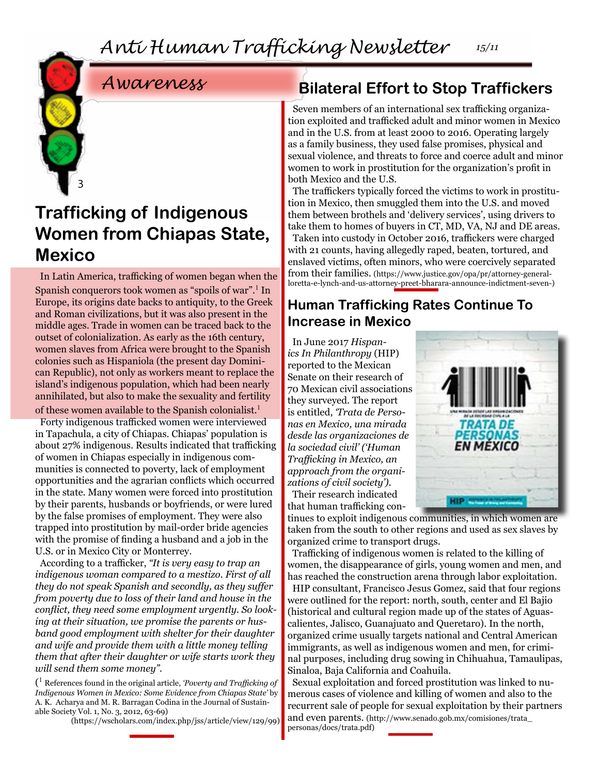### *Awareness*

3

### **Trafficking of Indigenous Women from Chiapas State, Mexico**

In Latin America, trafficking of women began when the Spanish conquerors took women as "spoils of war".<sup>1</sup> In Europe, its origins date backs to antiquity, to the Greek and Roman civilizations, but it was also present in the middle ages. Trade in women can be traced back to the outset of colonialization. As early as the 16th century, women slaves from Africa were brought to the Spanish colonies such as Hispaniola (the present day Dominican Republic), not only as workers meant to replace the island's indigenous population, which had been nearly annihilated, but also to make the sexuality and fertility of these women available to the Spanish colonialist.<sup>1</sup>

Forty indigenous trafficked women were interviewed in Tapachula, a city of Chiapas. Chiapas' population is about 27% indigenous. Results indicated that trafficking of women in Chiapas especially in indigenous communities is connected to poverty, lack of employment opportunities and the agrarian conflicts which occurred in the state. Many women were forced into prostitution by their parents, husbands or boyfriends, or were lured by the false promises of employment. They were also trapped into prostitution by mail-order bride agencies with the promise of finding a husband and a job in the U.S. or in Mexico City or Monterrey.

According to a trafficker, *"It is very easy to trap an indigenous woman compared to a mestizo. First of all they do not speak Spanish and secondly, as they suffer from poverty due to loss of their land and house in the conflict, they need some employment urgently. So looking at their situation, we promise the parents or husband good employment with shelter for their daughter and wife and provide them with a little money telling them that after their daughter or wife starts work they will send them some money".* 

( <sup>1</sup> References found in the original article, *'Poverty and Trafficking of Indigenous Women in Mexico: Some Evidence from Chiapas State'* by A. K. Acharya and M. R. Barragan Codina in the Journal of Sustainable Society Vol. 1, No. 3, 2012, 63-69)

([https://wscholars.com/index.php/jss/article/view/129/99\)](https://wscholars.com/index.php/jss/article/view/129/99)

### **Bilateral Effort to Stop Traffickers**

Seven members of an international sex trafficking organization exploited and trafficked adult and minor women in Mexico and in the U.S. from at least 2000 to 2016. Operating largely as a family business, they used false promises, physical and sexual violence, and threats to force and coerce adult and minor women to work in prostitution for the organization's profit in both Mexico and the U.S.

The traffickers typically forced the victims to work in prostitution in Mexico, then smuggled them into the U.S. and moved them between brothels and 'delivery services', using drivers to take them to homes of buyers in CT, MD, VA, NJ and DE areas. Taken into custody in October 2016, traffickers were charged with 21 counts, having allegedly raped, beaten, tortured, and enslaved victims, often minors, who were coercively separated from their families. ([https://www.justice.gov/opa/pr/attorney-general](https://www.justice.gov/opa/pr/attorney-general-loretta-e-lynch-and-us-attorney-preet-bharara-announce-indictment-seven-)[loretta-e-lynch-and-us-attorney-preet-bharara-announce-indictment-seven-](https://www.justice.gov/opa/pr/attorney-general-loretta-e-lynch-and-us-attorney-preet-bharara-announce-indictment-seven-))

#### **Human Trafficking Rates Continue To Increase in Mexico**

In June 2017 *Hispanics In Philanthropy* (HIP) reported to the Mexican Senate on their research of 70 Mexican civil associations they surveyed. The report is entitled, *'Trata de Personas en Mexico, una mirada desde las organizaciones de la sociedad civil' ('Human Trafficking in Mexico, an approach from the organizations of civil society').*



Their research indicated that human trafficking con-

tinues to exploit indigenous communities, in which women are taken from the south to other regions and used as sex slaves by organized crime to transport drugs.

Trafficking of indigenous women is related to the killing of women, the disappearance of girls, young women and men, and has reached the construction arena through labor exploitation.

HIP consultant, Francisco Jesus Gomez, said that four regions were outlined for the report: north, south, center and El Bajio (historical and cultural region made up of the states of Aguascalientes, Jalisco, Guanajuato and Queretaro). In the north, organized crime usually targets national and Central American immigrants, as well as indigenous women and men, for criminal purposes, including drug sowing in Chihuahua, Tamaulipas, Sinaloa, Baja California and Coahuila.

Sexual exploitation and forced prostitution was linked to numerous cases of violence and killing of women and also to the recurrent sale of people for sexual exploitation by their partners and even parents. ([http://www.senado.gob.mx/comisiones/trata\\_](http://www.senado.gob.mx/comisiones/trata_personas/docs/trata.pdf) [personas/docs/trata.pdf\)](http://www.senado.gob.mx/comisiones/trata_personas/docs/trata.pdf)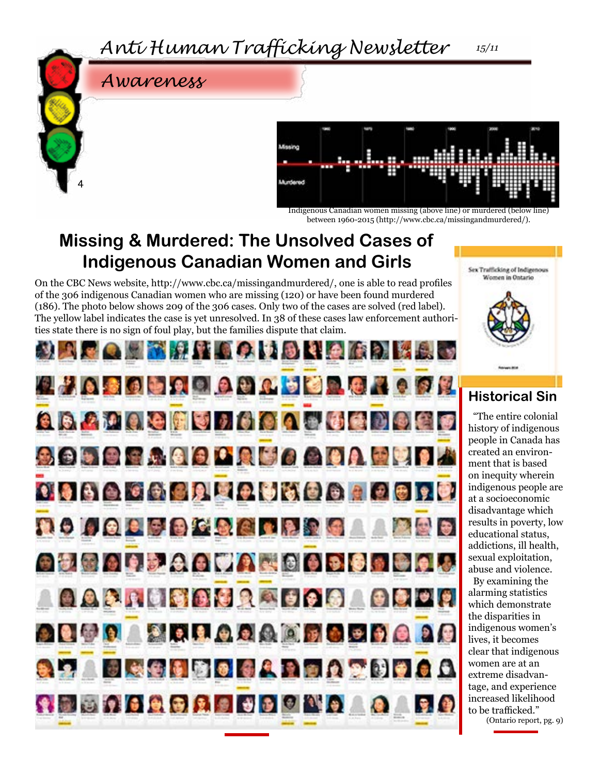

4



Indigenous Canadian women missing (above line) or murdered (below line) between 1960-2015 (http://www.cbc.ca/missingandmurdered/).

### **Missing & Murdered: The Unsolved Cases of Indigenous Canadian Women and Girls**

On the CBC News website, [http://www.cbc.ca/missingandmurdered/,](http://www.cbc.ca/missingandmurdered/) one is able to read profiles of the 306 indigenous Canadian women who are missing (120) or have been found murdered (186). The photo below shows 209 of the 306 cases. Only two of the cases are solved (red label). The yellow label indicates the case is yet unresolved. In 38 of these cases law enforcement authorities state there is no sign of foul play, but the families dispute that claim.





#### **Historical Sin**

"The entire colonial history of indigenous people in Canada has created an environment that is based on inequity wherein indigenous people are at a socioeconomic disadvantage which results in poverty, low educational status, addictions, ill health, sexual exploitation, abuse and violence. By examining the alarming statistics which demonstrate the disparities in indigenous women's lives, it becomes clear that indigenous women are at an extreme disadvantage, and experience increased likelihood to be trafficked."

(Ontario report, pg. 9)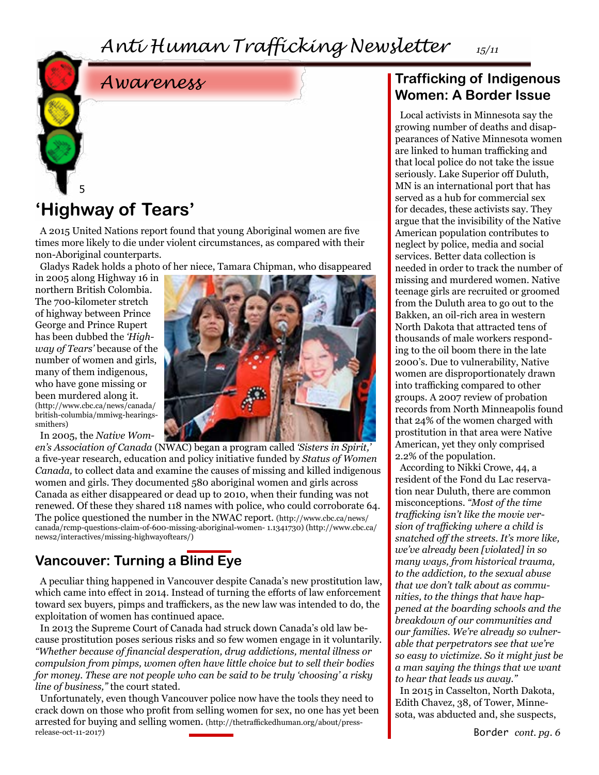

#### **'Highway of Tears'** 5

A 2015 United Nations report found that young Aboriginal women are five times more likely to die under violent circumstances, as compared with their non-Aboriginal counterparts.

Gladys Radek holds a photo of her niece, Tamara Chipman, who disappeared

in 2005 along Highway 16 in northern British Colombia. The 700-kilometer stretch of highway between Prince George and Prince Rupert has been dubbed the *'Highway of Tears'* because of the number of women and girls, many of them indigenous, who have gone missing or been murdered along it. ([http://www.cbc.ca/news/canada/](http://www.cbc.ca/news/canada/british-columbia/mmiwg-hearings-smithers) [british-columbia/mmiwg-hearings](http://www.cbc.ca/news/canada/british-columbia/mmiwg-hearings-smithers)[smithers\)](http://www.cbc.ca/news/canada/british-columbia/mmiwg-hearings-smithers)

In 2005, the *Native Wom-*



*en's Association of Canada* (NWAC) began a program called *'Sisters in Spirit,'* a five-year research, education and policy initiative funded by *Status of Women Canada,* to collect data and examine the causes of missing and killed indigenous women and girls. They documented 580 aboriginal women and girls across Canada as either disappeared or dead up to 2010, when their funding was not renewed. Of these they shared 118 names with police, who could corroborate 64. The police questioned the number in the NWAC report. [\(http://www.cbc.ca/news/](http://www.cbc.ca/news/canada/rcmp-questions-claim-of-600-missing-aboriginal-women-1.1341730) [canada/rcmp-questions-claim-of-600-missing-aboriginal-women- 1.1341730\)](http://www.cbc.ca/news/canada/rcmp-questions-claim-of-600-missing-aboriginal-women-1.1341730) ([http://www.cbc.ca/](http://www.cbc.ca/news2/interactives/missing-highwayoftears/) [news2/interactives/missing-highwayoftears/](http://www.cbc.ca/news2/interactives/missing-highwayoftears/))

#### **Vancouver: Turning a Blind Eye**

A peculiar thing happened in Vancouver despite Canada's new prostitution law, which came into effect in 2014. Instead of turning the efforts of law enforcement toward sex buyers, pimps and traffickers, as the new law was intended to do, the exploitation of women has continued apace.

In 2013 the Supreme Court of Canada had struck down Canada's old law because prostitution poses serious risks and so few women engage in it voluntarily. *"Whether because of financial desperation, drug addictions, mental illness or compulsion from pimps, women often have little choice but to sell their bodies for money. These are not people who can be said to be truly 'choosing' a risky line of business,"* the court stated.

Unfortunately, even though Vancouver police now have the tools they need to crack down on those who profit from selling women for sex, no one has yet been arrested for buying and selling women. [\(http://thetraffickedhuman.org/about/press](http://thetraffickedhuman.org/about/press-release-oct-11-2017)[release-oct-11-2017](http://thetraffickedhuman.org/about/press-release-oct-11-2017))

#### **Trafficking of Indigenous Women: A Border Issue**

Local activists in Minnesota say the growing number of deaths and disappearances of Native Minnesota women are linked to human trafficking and that local police do not take the issue seriously. Lake Superior off Duluth, MN is an international port that has served as a hub for commercial sex for decades, these activists say. They argue that the invisibility of the Native American population contributes to neglect by police, media and social services. Better data collection is needed in order to track the number of missing and murdered women. Native teenage girls are recruited or groomed from the Duluth area to go out to the Bakken, an oil-rich area in western North Dakota that attracted tens of thousands of male workers responding to the oil boom there in the late 2000's. Due to vulnerability, Native women are disproportionately drawn into trafficking compared to other groups. A 2007 review of probation records from North Minneapolis found that 24% of the women charged with prostitution in that area were Native American, yet they only comprised 2.2% of the population.

According to Nikki Crowe, 44, a resident of the Fond du Lac reservation near Duluth, there are common misconceptions. *"Most of the time trafficking isn't like the movie version of trafficking where a child is snatched off the streets. It's more like, we've already been [violated] in so many ways, from historical trauma, to the addiction, to the sexual abuse that we don't talk about as communities, to the things that have happened at the boarding schools and the breakdown of our communities and our families. We're already so vulnerable that perpetrators see that we're so easy to victimize. So it might just be a man saying the things that we want to hear that leads us away."*

In 2015 in Casselton, North Dakota, Edith Chavez, 38, of Tower, Minnesota, was abducted and, she suspects,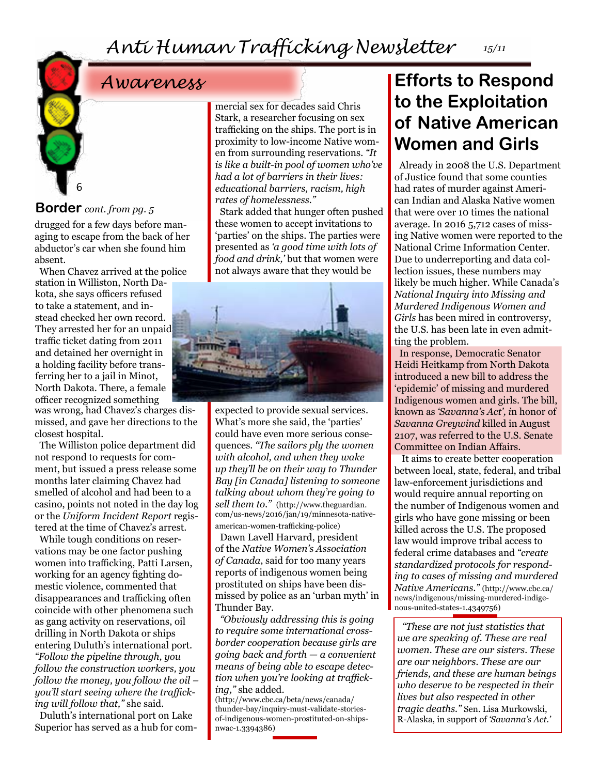#### **Border** *cont. from pg. 5*

6

drugged for a few days before managing to escape from the back of her abductor's car when she found him absent.

When Chavez arrived at the police station in Williston, North Dakota, she says officers refused to take a statement, and instead checked her own record. They arrested her for an unpaid traffic ticket dating from 2011 and detained her overnight in a holding facility before transferring her to a jail in Minot, North Dakota. There, a female officer recognized something

was wrong, had Chavez's charges dismissed, and gave her directions to the closest hospital.

The Williston police department did not respond to requests for comment, but issued a press release some months later claiming Chavez had smelled of alcohol and had been to a casino, points not noted in the day log or the *Uniform Incident Report* registered at the time of Chavez's arrest.

While tough conditions on reservations may be one factor pushing women into trafficking, Patti Larsen, working for an agency fighting domestic violence, commented that disappearances and trafficking often coincide with other phenomena such as gang activity on reservations, oil drilling in North Dakota or ships entering Duluth's international port. *"Follow the pipeline through, you follow the construction workers, you follow the money, you follow the oil – you'll start seeing where the trafficking will follow that,"* she said.

Duluth's international port on Lake Superior has served as a hub for commercial sex for decades said Chris Stark, a researcher focusing on sex trafficking on the ships. The port is in proximity to low-income Native women from surrounding reservations. *"It is like a built-in pool of women who've had a lot of barriers in their lives: educational barriers, racism, high rates of homelessness."*

Stark added that hunger often pushed these women to accept invitations to 'parties' on the ships. The parties were presented as *'a good time with lots of food and drink,'* but that women were not always aware that they would be



expected to provide sexual services. What's more she said, the 'parties' could have even more serious consequences. *"The sailors ply the women with alcohol, and when they wake up they'll be on their way to Thunder Bay [in Canada] listening to someone talking about whom they're going to sell them to."* [\(http://www.theguardian.](http://www.theguardian.com/us-news/2016/jan/19/minnesota-native-american-women-trafficking-police) [com/us-news/2016/jan/19/minnesota-native](http://www.theguardian.com/us-news/2016/jan/19/minnesota-native-american-women-trafficking-police)[american-women-trafficking-police\)](http://www.theguardian.com/us-news/2016/jan/19/minnesota-native-american-women-trafficking-police)

Dawn Lavell Harvard, president of the *Native Women's Association of Canada*, said for too many years reports of indigenous women being prostituted on ships have been dismissed by police as an 'urban myth' in Thunder Bay.

*"Obviously addressing this is going to require some international crossborder cooperation because girls are going back and forth — a convenient means of being able to escape detection when you're looking at trafficking,"* she added.

([http://www.cbc.ca/beta/news/canada/](http://www.cbc.ca/beta/news/canada/thunder-bay/inquiry-must-validate-stories-of-indigenous-women-prostituted-on-ships-nwac-1.3394386) [thunder-bay/inquiry-must-validate-stories](http://www.cbc.ca/beta/news/canada/thunder-bay/inquiry-must-validate-stories-of-indigenous-women-prostituted-on-ships-nwac-1.3394386)[of-indigenous-women-prostituted-on-ships](http://www.cbc.ca/beta/news/canada/thunder-bay/inquiry-must-validate-stories-of-indigenous-women-prostituted-on-ships-nwac-1.3394386)[nwac-1.3394386](http://www.cbc.ca/beta/news/canada/thunder-bay/inquiry-must-validate-stories-of-indigenous-women-prostituted-on-ships-nwac-1.3394386))

### *Awareness* **Efforts to Respond to the Exploitation of Native American Women and Girls**

Already in 2008 the U.S. Department of Justice found that some counties had rates of murder against American Indian and Alaska Native women that were over 10 times the national average. In 2016 5,712 cases of missing Native women were reported to the National Crime Information Center. Due to underreporting and data collection issues, these numbers may likely be much higher. While Canada's *National Inquiry into Missing and Murdered Indigenous Women and Girls* has been mired in controversy, the U.S. has been late in even admitting the problem.

In response, Democratic Senator Heidi Heitkamp from North Dakota introduced a new bill to address the 'epidemic' of missing and murdered Indigenous women and girls. The bill, known as *'Savanna's Act', i*n honor of *Savanna Greywind* killed in August 2107, was referred to the U.S. Senate Committee on Indian Affairs.

 It aims to create better cooperation between local, state, federal, and tribal law-enforcement jurisdictions and would require annual reporting on the number of Indigenous women and girls who have gone missing or been killed across the U.S. The proposed law would improve tribal access to federal crime databases and *"create standardized protocols for responding to cases of missing and murdered Native Americans."* ([http://www.cbc.ca/](http://www.cbc.ca/news/indigenous/missing-murdered-indigenous-united-states-1.4349756) [news/indigenous/missing-murdered-indige](http://www.cbc.ca/news/indigenous/missing-murdered-indigenous-united-states-1.4349756)[nous-united-states-1.4349756\)](http://www.cbc.ca/news/indigenous/missing-murdered-indigenous-united-states-1.4349756)

*"These are not just statistics that we are speaking of. These are real women. These are our sisters. These are our neighbors. These are our friends, and these are human beings who deserve to be respected in their lives but also respected in other tragic deaths."* Sen. Lisa Murkowski, R-Alaska, in support of *'Savanna's Act.'*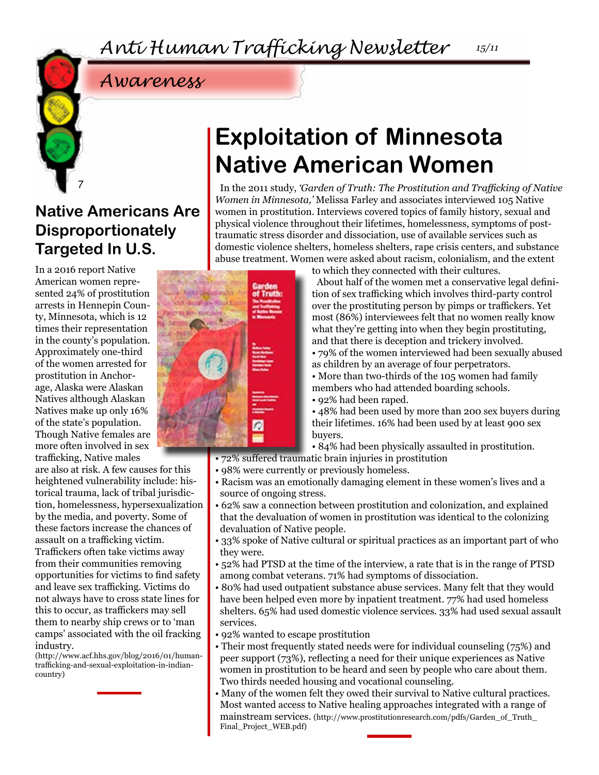### *Awareness*

### **Native Americans Are Disproportionately Targeted In U.S.**

7

In a 2016 report Native American women represented 24% of prostitution arrests in Hennepin County, Minnesota, which is 12 times their representation in the county's population. Approximately one-third of the women arrested for prostitution in Anchorage, Alaska were Alaskan Natives although Alaskan Natives make up only 16% of the state's population. Though Native females are more often involved in sex trafficking, Native males

are also at risk. A few causes for this heightened vulnerability include: historical trauma, lack of tribal jurisdiction, homelessness, hypersexualization by the media, and poverty. Some of these factors increase the chances of assault on a trafficking victim. Traffickers often take victims away from their communities removing opportunities for victims to find safety and leave sex trafficking. Victims do not always have to cross state lines for this to occur, as traffickers may sell them to nearby ship crews or to 'man camps' associated with the oil fracking industry.

([http://www.acf.hhs.gov/blog/2016/01/human](http://www.acf.hhs.gov/blog/2016/01/human-trafficking-and-sexual-exploitation-in-indian-country)[trafficking-and-sexual-exploitation-in-indian](http://www.acf.hhs.gov/blog/2016/01/human-trafficking-and-sexual-exploitation-in-indian-country)[country](http://www.acf.hhs.gov/blog/2016/01/human-trafficking-and-sexual-exploitation-in-indian-country))

## **Exploitation of Minnesota Native American Women**

In the 2011 study, *'Garden of Truth: The Prostitution and Trafficking of Native Women in Minnesota,'* Melissa Farley and associates interviewed 105 Native women in prostitution. Interviews covered topics of family history, sexual and physical violence throughout their lifetimes, homelessness, symptoms of posttraumatic stress disorder and dissociation, use of available services such as domestic violence shelters, homeless shelters, rape crisis centers, and substance abuse treatment. Women were asked about racism, colonialism, and the extent



to which they connected with their cultures.

About half of the women met a conservative legal definition of sex trafficking which involves third-party control over the prostituting person by pimps or traffickers. Yet most (86%) interviewees felt that no women really know what they're getting into when they begin prostituting, and that there is deception and trickery involved.

• 79% of the women interviewed had been sexually abused as children by an average of four perpetrators.

• More than two-thirds of the 105 women had family members who had attended boarding schools.

• 92% had been raped.

• 48% had been used by more than 200 sex buyers during their lifetimes. 16% had been used by at least 900 sex buyers.

• 84% had been physically assaulted in prostitution.

• 72% suffered traumatic brain injuries in prostitution

- 98% were currently or previously homeless.
- Racism was an emotionally damaging element in these women's lives and a source of ongoing stress.
- 62% saw a connection between prostitution and colonization, and explained that the devaluation of women in prostitution was identical to the colonizing devaluation of Native people.
- 33% spoke of Native cultural or spiritual practices as an important part of who they were.
- 52% had PTSD at the time of the interview, a rate that is in the range of PTSD among combat veterans. 71% had symptoms of dissociation.
- 80% had used outpatient substance abuse services. Many felt that they would have been helped even more by inpatient treatment. 77% had used homeless shelters. 65% had used domestic violence services. 33% had used sexual assault services.
- 92% wanted to escape prostitution
- Their most frequently stated needs were for individual counseling (75%) and peer support (73%), reflecting a need for their unique experiences as Native women in prostitution to be heard and seen by people who care about them. Two thirds needed housing and vocational counseling.
- Many of the women felt they owed their survival to Native cultural practices. Most wanted access to Native healing approaches integrated with a range of mainstream services. ([http://www.prostitutionresearch.com/pdfs/Garden\\_of\\_Truth\\_](http://www.prostitutionresearch.com/pdfs/Garden_of_Truth_ Final_Project_WEB.pdf) [Final\\_Project\\_WEB.pdf\)](http://www.prostitutionresearch.com/pdfs/Garden_of_Truth_ Final_Project_WEB.pdf)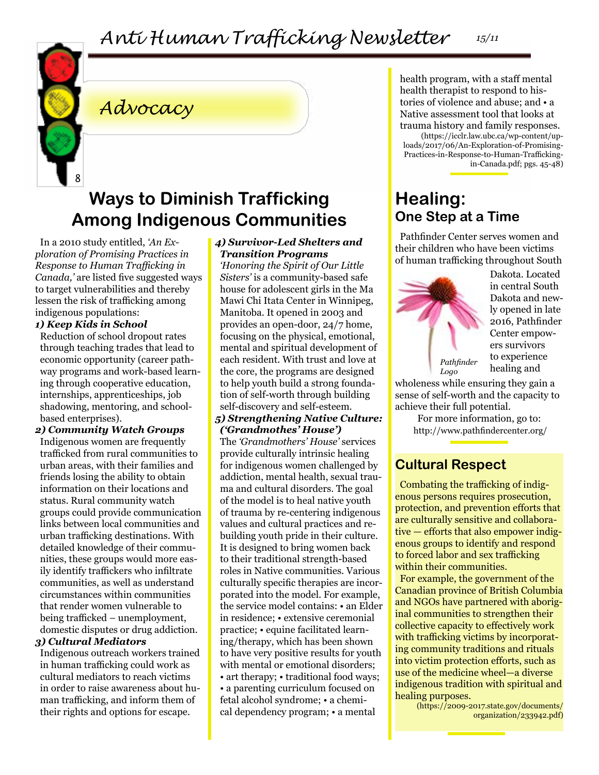

## *Advocacy*

### **Ways to Diminish Trafficking Among Indigenous Communities**

In a 2010 study entitled, *'An Exploration of Promising Practices in Response to Human Trafficking in Canada,'* are listed five suggested ways to target vulnerabilities and thereby lessen the risk of trafficking among indigenous populations:

#### *1) Keep Kids in School*

Reduction of school dropout rates through teaching trades that lead to economic opportunity (career pathway programs and work-based learning through cooperative education, internships, apprenticeships, job shadowing, mentoring, and schoolbased enterprises).

*2) Community Watch Groups* Indigenous women are frequently trafficked from rural communities to urban areas, with their families and friends losing the ability to obtain information on their locations and status. Rural community watch groups could provide communication links between local communities and urban trafficking destinations. With detailed knowledge of their communities, these groups would more easily identify traffickers who infiltrate communities, as well as understand circumstances within communities that render women vulnerable to being trafficked – unemployment, domestic disputes or drug addiction.

#### *3) Cultural Mediators*

Indigenous outreach workers trained in human trafficking could work as cultural mediators to reach victims in order to raise awareness about human trafficking, and inform them of their rights and options for escape.

#### *4) Survivor-Led Shelters and Transition Programs*

*'Honoring the Spirit of Our Little Sisters'* is a community-based safe house for adolescent girls in the Ma Mawi Chi Itata Center in Winnipeg, Manitoba. It opened in 2003 and provides an open-door, 24/7 home, focusing on the physical, emotional, mental and spiritual development of each resident. With trust and love at the core, the programs are designed to help youth build a strong foundation of self-worth through building self-discovery and self-esteem.

#### *5) Strengthening Native Culture: ('Grandmothes' House')*

The *'Grandmothers' House'* services provide culturally intrinsic healing for indigenous women challenged by addiction, mental health, sexual trauma and cultural disorders. The goal of the model is to heal native youth of trauma by re-centering indigenous values and cultural practices and rebuilding youth pride in their culture. It is designed to bring women back to their traditional strength-based roles in Native communities. Various culturally specific therapies are incorporated into the model. For example, the service model contains: • an Elder in residence; • extensive ceremonial practice; • equine facilitated learning/therapy, which has been shown to have very positive results for youth with mental or emotional disorders; • art therapy; • traditional food ways; • a parenting curriculum focused on fetal alcohol syndrome; • a chemical dependency program; • a mental

health program, with a staff mental health therapist to respond to histories of violence and abuse; and • a Native assessment tool that looks at trauma history and family responses.

([https://icclr.law.ubc.ca/wp-content/up](https://icclr.law.ubc.ca/wp-content/uploads/2017/06/An-Exploration-of-Promising- Practices-in-Response-to-Human-Trafficking-in-Canada.pdf)[loads/2017/06/An-Exploration-of-Promising-](https://icclr.law.ubc.ca/wp-content/uploads/2017/06/An-Exploration-of-Promising- Practices-in-Response-to-Human-Trafficking-in-Canada.pdf)[Practices-in-Response-to-Human-Trafficking](https://icclr.law.ubc.ca/wp-content/uploads/2017/06/An-Exploration-of-Promising- Practices-in-Response-to-Human-Trafficking-in-Canada.pdf)[in-Canada.pdf](https://icclr.law.ubc.ca/wp-content/uploads/2017/06/An-Exploration-of-Promising- Practices-in-Response-to-Human-Trafficking-in-Canada.pdf); pgs. 45-48)

### **Healing: One Step at a Time**

Pathfinder Center serves women and their children who have been victims of human trafficking throughout South



Dakota. Located in central South Dakota and newly opened in late 2016, Pathfinder Center empowers survivors to experience healing and

wholeness while ensuring they gain a sense of self-worth and the capacity to achieve their full potential.

> For more information, go to: <http://www.pathfindercenter.org/>

### **Cultural Respect**

Combating the trafficking of indigenous persons requires prosecution, protection, and prevention efforts that are culturally sensitive and collaborative — efforts that also empower indigenous groups to identify and respond to forced labor and sex trafficking within their communities.

For example, the government of the Canadian province of British Columbia and NGOs have partnered with aboriginal communities to strengthen their collective capacity to effectively work with trafficking victims by incorporating community traditions and rituals into victim protection efforts, such as use of the medicine wheel—a diverse indigenous tradition with spiritual and healing purposes.

[\(https://2009-2017.state.gov/documents/](https://2009-2017.state.gov/documents/ organization/233942.pdf) [organization/233942.pdf\)](https://2009-2017.state.gov/documents/ organization/233942.pdf)